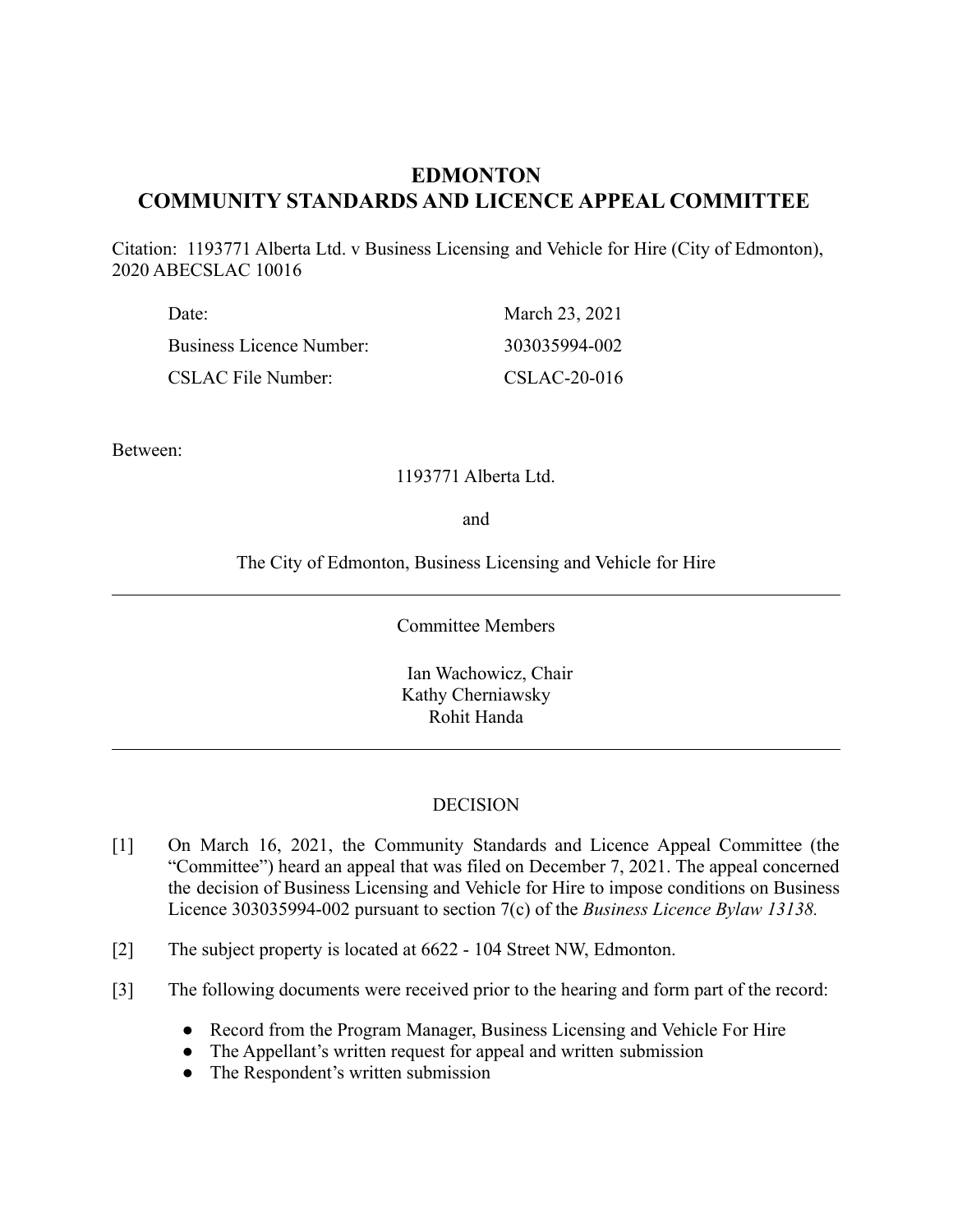# **EDMONTON COMMUNITY STANDARDS AND LICENCE APPEAL COMMITTEE**

Citation: 1193771 Alberta Ltd. v Business Licensing and Vehicle for Hire (City of Edmonton), 2020 ABECSLAC 10016

| Date:<br><b>Business Licence Number:</b> | March 23, 2021 |  |
|------------------------------------------|----------------|--|
|                                          | 303035994-002  |  |
| <b>CSLAC File Number:</b>                | CSLAC-20-016   |  |

Between:

### 1193771 Alberta Ltd.

and

The City of Edmonton, Business Licensing and Vehicle for Hire

Committee Members

Ian Wachowicz, Chair Kathy Cherniawsky Rohit Handa

### **DECISION**

- [1] On March 16, 2021, the Community Standards and Licence Appeal Committee (the "Committee") heard an appeal that was filed on December 7, 2021. The appeal concerned the decision of Business Licensing and Vehicle for Hire to impose conditions on Business Licence 303035994-002 pursuant to section 7(c) of the *Business Licence Bylaw 13138.*
- [2] The subject property is located at 6622 104 Street NW, Edmonton.
- [3] The following documents were received prior to the hearing and form part of the record:
	- Record from the Program Manager, Business Licensing and Vehicle For Hire
	- The Appellant's written request for appeal and written submission
	- The Respondent's written submission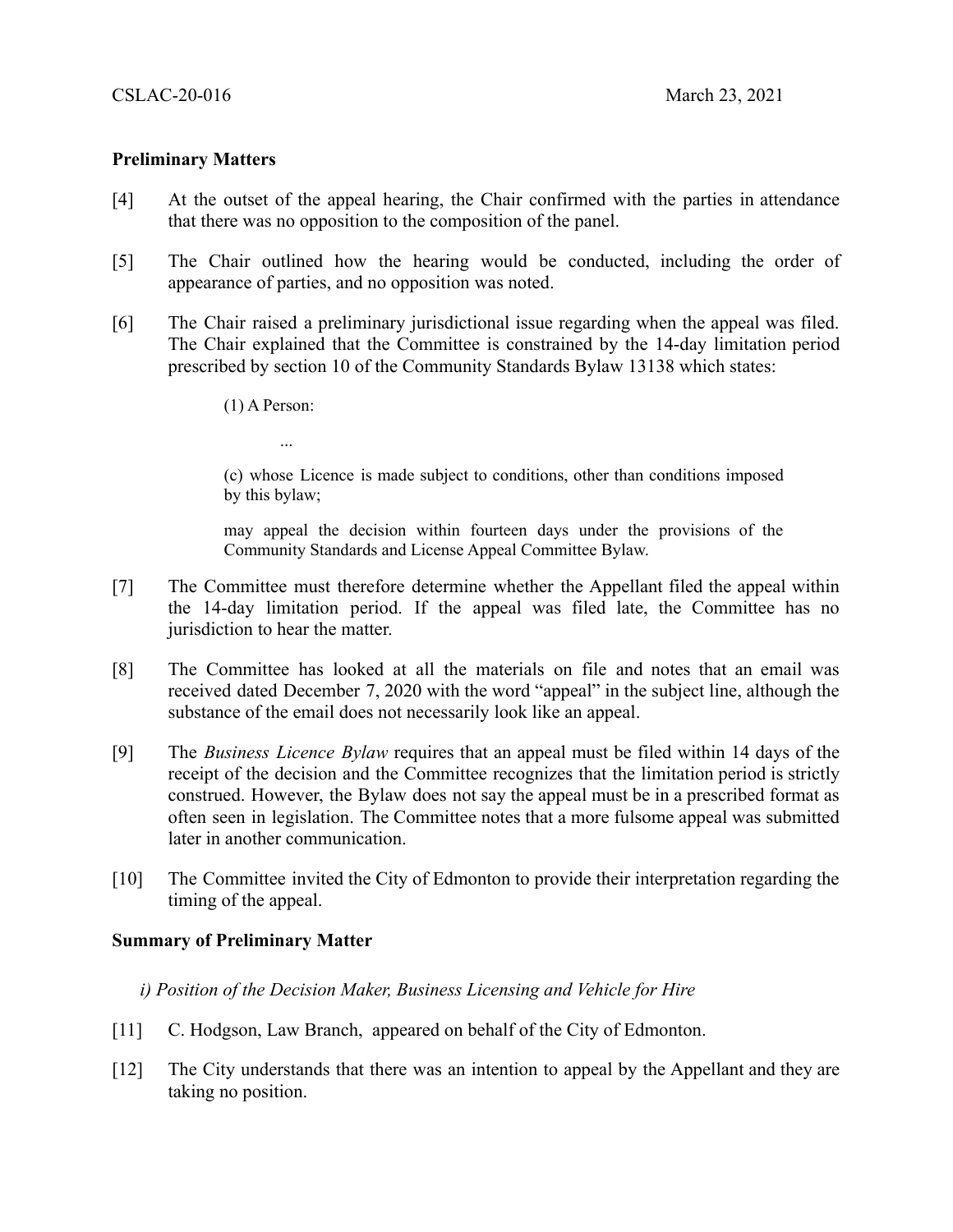## **Preliminary Matters**

- [4] At the outset of the appeal hearing, the Chair confirmed with the parties in attendance that there was no opposition to the composition of the panel.
- [5] The Chair outlined how the hearing would be conducted, including the order of appearance of parties, and no opposition was noted.
- [6] The Chair raised a preliminary jurisdictional issue regarding when the appeal was filed. The Chair explained that the Committee is constrained by the 14-day limitation period prescribed by section 10 of the Community Standards Bylaw 13138 which states:
	- (1) A Person:

...

(c) whose Licence is made subject to conditions, other than conditions imposed by this bylaw;

may appeal the decision within fourteen days under the provisions of the Community Standards and License Appeal Committee Bylaw.

- [7] The Committee must therefore determine whether the Appellant filed the appeal within the 14-day limitation period. If the appeal was filed late, the Committee has no jurisdiction to hear the matter.
- [8] The Committee has looked at all the materials on file and notes that an email was received dated December 7, 2020 with the word "appeal" in the subject line, although the substance of the email does not necessarily look like an appeal.
- [9] The *Business Licence Bylaw* requires that an appeal must be filed within 14 days of the receipt of the decision and the Committee recognizes that the limitation period is strictly construed. However, the Bylaw does not say the appeal must be in a prescribed format as often seen in legislation. The Committee notes that a more fulsome appeal was submitted later in another communication.
- [10] The Committee invited the City of Edmonton to provide their interpretation regarding the timing of the appeal.

### **Summary of Preliminary Matter**

### *i) Position of the Decision Maker, Business Licensing and Vehicle for Hire*

- [11] C. Hodgson, Law Branch, appeared on behalf of the City of Edmonton.
- [12] The City understands that there was an intention to appeal by the Appellant and they are taking no position.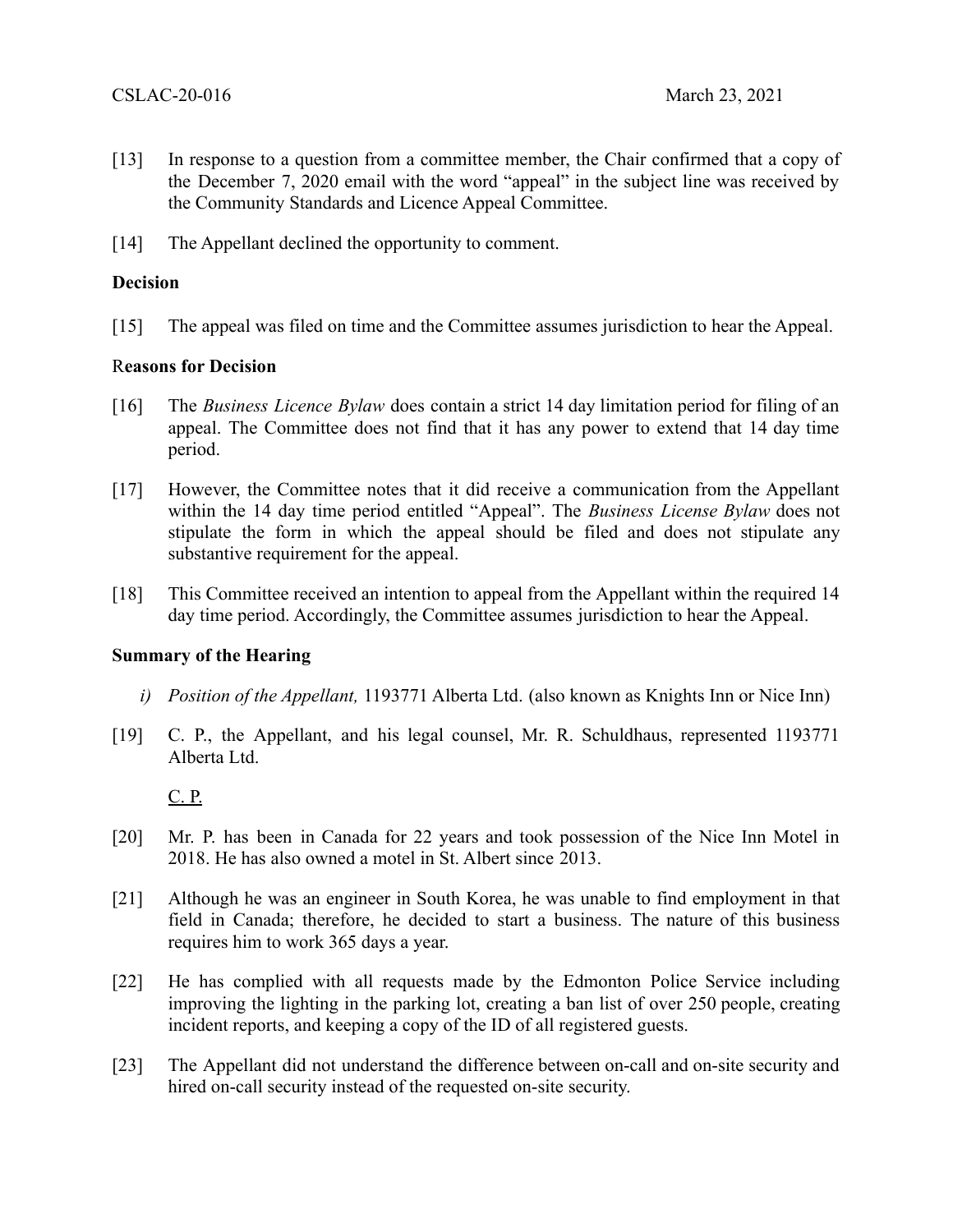- [13] In response to a question from a committee member, the Chair confirmed that a copy of the December 7, 2020 email with the word "appeal" in the subject line was received by the Community Standards and Licence Appeal Committee.
- [14] The Appellant declined the opportunity to comment.

## **Decision**

[15] The appeal was filed on time and the Committee assumes jurisdiction to hear the Appeal.

### R**easons for Decision**

- [16] The *Business Licence Bylaw* does contain a strict 14 day limitation period for filing of an appeal. The Committee does not find that it has any power to extend that 14 day time period.
- [17] However, the Committee notes that it did receive a communication from the Appellant within the 14 day time period entitled "Appeal". The *Business License Bylaw* does not stipulate the form in which the appeal should be filed and does not stipulate any substantive requirement for the appeal.
- [18] This Committee received an intention to appeal from the Appellant within the required 14 day time period. Accordingly, the Committee assumes jurisdiction to hear the Appeal.

### **Summary of the Hearing**

- *i) Position of the Appellant,* 1193771 Alberta Ltd. (also known as Knights Inn or Nice Inn)
- [19] C. P., the Appellant, and his legal counsel, Mr. R. Schuldhaus, represented 1193771 Alberta Ltd.

C. P.

- [20] Mr. P. has been in Canada for 22 years and took possession of the Nice Inn Motel in 2018. He has also owned a motel in St. Albert since 2013.
- [21] Although he was an engineer in South Korea, he was unable to find employment in that field in Canada; therefore, he decided to start a business. The nature of this business requires him to work 365 days a year.
- [22] He has complied with all requests made by the Edmonton Police Service including improving the lighting in the parking lot, creating a ban list of over 250 people, creating incident reports, and keeping a copy of the ID of all registered guests.
- [23] The Appellant did not understand the difference between on-call and on-site security and hired on-call security instead of the requested on-site security.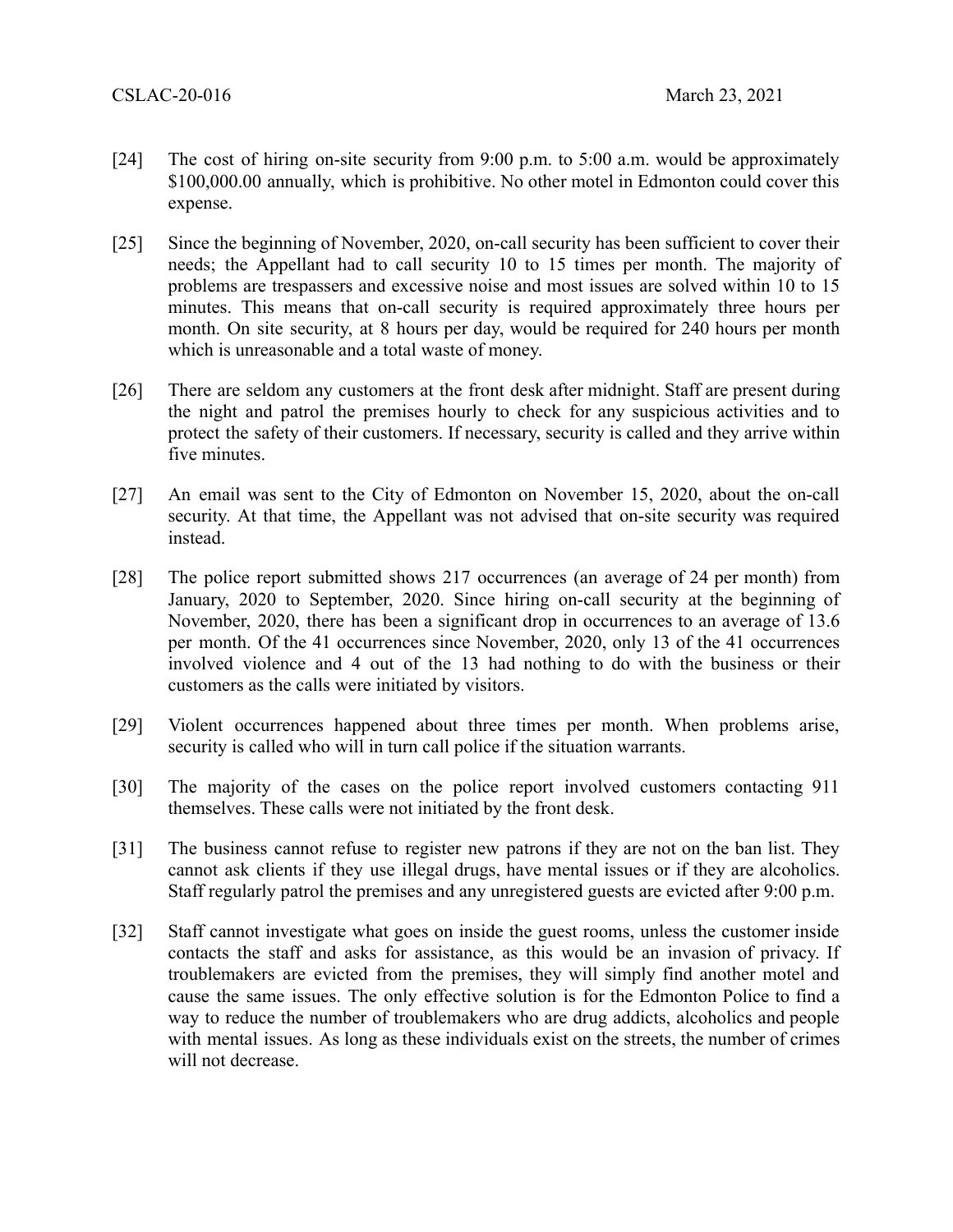- [24] The cost of hiring on-site security from 9:00 p.m. to 5:00 a.m. would be approximately \$100,000.00 annually, which is prohibitive. No other motel in Edmonton could cover this expense.
- [25] Since the beginning of November, 2020, on-call security has been sufficient to cover their needs; the Appellant had to call security 10 to 15 times per month. The majority of problems are trespassers and excessive noise and most issues are solved within 10 to 15 minutes. This means that on-call security is required approximately three hours per month. On site security, at 8 hours per day, would be required for 240 hours per month which is unreasonable and a total waste of money.
- [26] There are seldom any customers at the front desk after midnight. Staff are present during the night and patrol the premises hourly to check for any suspicious activities and to protect the safety of their customers. If necessary, security is called and they arrive within five minutes.
- [27] An email was sent to the City of Edmonton on November 15, 2020, about the on-call security. At that time, the Appellant was not advised that on-site security was required instead.
- [28] The police report submitted shows 217 occurrences (an average of 24 per month) from January, 2020 to September, 2020. Since hiring on-call security at the beginning of November, 2020, there has been a significant drop in occurrences to an average of 13.6 per month. Of the 41 occurrences since November, 2020, only 13 of the 41 occurrences involved violence and 4 out of the 13 had nothing to do with the business or their customers as the calls were initiated by visitors.
- [29] Violent occurrences happened about three times per month. When problems arise, security is called who will in turn call police if the situation warrants.
- [30] The majority of the cases on the police report involved customers contacting 911 themselves. These calls were not initiated by the front desk.
- [31] The business cannot refuse to register new patrons if they are not on the ban list. They cannot ask clients if they use illegal drugs, have mental issues or if they are alcoholics. Staff regularly patrol the premises and any unregistered guests are evicted after 9:00 p.m.
- [32] Staff cannot investigate what goes on inside the guest rooms, unless the customer inside contacts the staff and asks for assistance, as this would be an invasion of privacy. If troublemakers are evicted from the premises, they will simply find another motel and cause the same issues. The only effective solution is for the Edmonton Police to find a way to reduce the number of troublemakers who are drug addicts, alcoholics and people with mental issues. As long as these individuals exist on the streets, the number of crimes will not decrease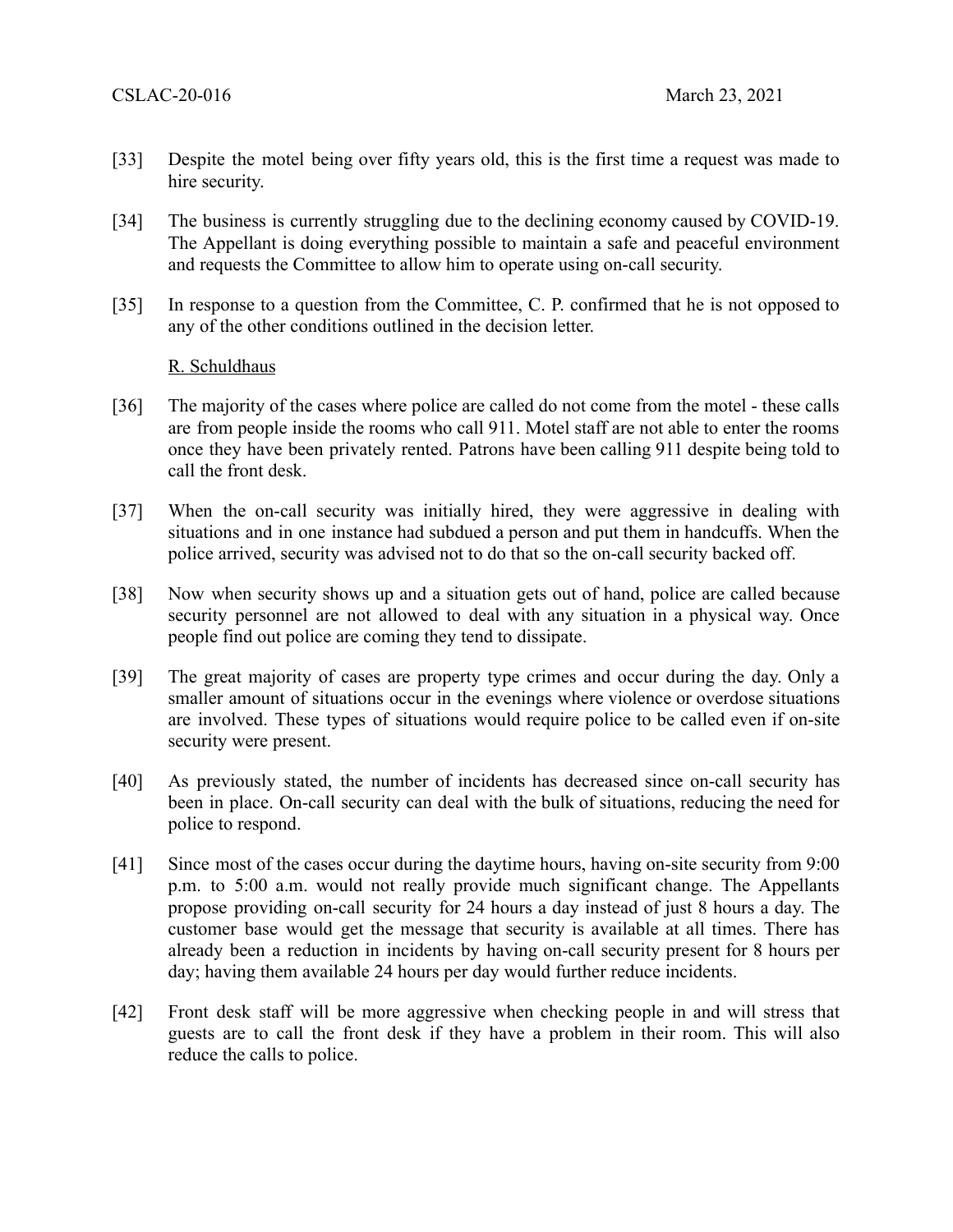- [33] Despite the motel being over fifty years old, this is the first time a request was made to hire security.
- [34] The business is currently struggling due to the declining economy caused by COVID-19. The Appellant is doing everything possible to maintain a safe and peaceful environment and requests the Committee to allow him to operate using on-call security.
- [35] In response to a question from the Committee, C. P. confirmed that he is not opposed to any of the other conditions outlined in the decision letter.

### R. Schuldhaus

- [36] The majority of the cases where police are called do not come from the motel these calls are from people inside the rooms who call 911. Motel staff are not able to enter the rooms once they have been privately rented. Patrons have been calling 911 despite being told to call the front desk.
- [37] When the on-call security was initially hired, they were aggressive in dealing with situations and in one instance had subdued a person and put them in handcuffs. When the police arrived, security was advised not to do that so the on-call security backed off.
- [38] Now when security shows up and a situation gets out of hand, police are called because security personnel are not allowed to deal with any situation in a physical way. Once people find out police are coming they tend to dissipate.
- [39] The great majority of cases are property type crimes and occur during the day. Only a smaller amount of situations occur in the evenings where violence or overdose situations are involved. These types of situations would require police to be called even if on-site security were present.
- [40] As previously stated, the number of incidents has decreased since on-call security has been in place. On-call security can deal with the bulk of situations, reducing the need for police to respond.
- [41] Since most of the cases occur during the daytime hours, having on-site security from 9:00 p.m. to 5:00 a.m. would not really provide much significant change. The Appellants propose providing on-call security for 24 hours a day instead of just 8 hours a day. The customer base would get the message that security is available at all times. There has already been a reduction in incidents by having on-call security present for 8 hours per day; having them available 24 hours per day would further reduce incidents.
- [42] Front desk staff will be more aggressive when checking people in and will stress that guests are to call the front desk if they have a problem in their room. This will also reduce the calls to police.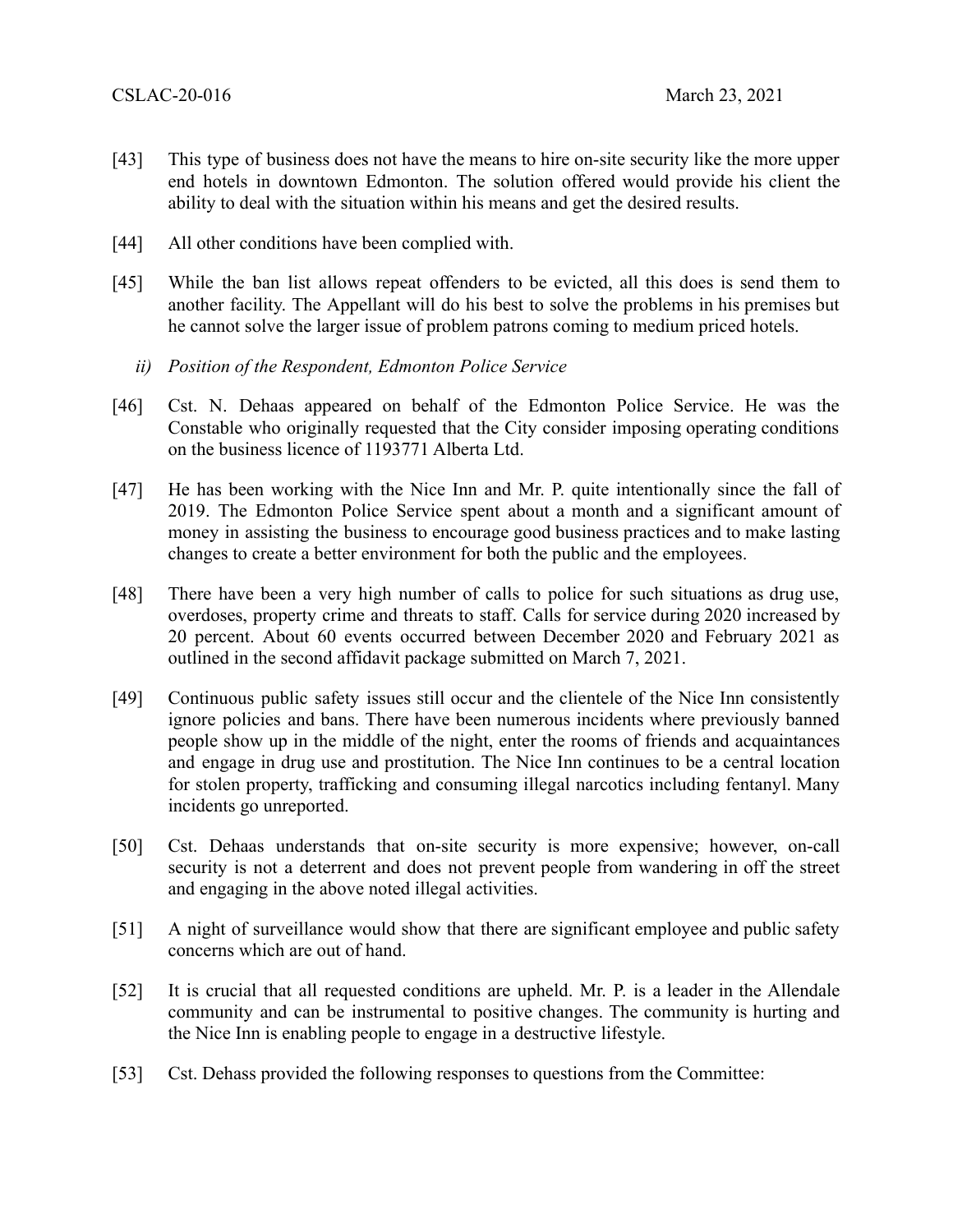- [43] This type of business does not have the means to hire on-site security like the more upper end hotels in downtown Edmonton. The solution offered would provide his client the ability to deal with the situation within his means and get the desired results.
- [44] All other conditions have been complied with.
- [45] While the ban list allows repeat offenders to be evicted, all this does is send them to another facility. The Appellant will do his best to solve the problems in his premises but he cannot solve the larger issue of problem patrons coming to medium priced hotels.
	- *ii) Position of the Respondent, Edmonton Police Service*
- [46] Cst. N. Dehaas appeared on behalf of the Edmonton Police Service. He was the Constable who originally requested that the City consider imposing operating conditions on the business licence of 1193771 Alberta Ltd.
- [47] He has been working with the Nice Inn and Mr. P. quite intentionally since the fall of 2019. The Edmonton Police Service spent about a month and a significant amount of money in assisting the business to encourage good business practices and to make lasting changes to create a better environment for both the public and the employees.
- [48] There have been a very high number of calls to police for such situations as drug use, overdoses, property crime and threats to staff. Calls for service during 2020 increased by 20 percent. About 60 events occurred between December 2020 and February 2021 as outlined in the second affidavit package submitted on March 7, 2021.
- [49] Continuous public safety issues still occur and the clientele of the Nice Inn consistently ignore policies and bans. There have been numerous incidents where previously banned people show up in the middle of the night, enter the rooms of friends and acquaintances and engage in drug use and prostitution. The Nice Inn continues to be a central location for stolen property, trafficking and consuming illegal narcotics including fentanyl. Many incidents go unreported.
- [50] Cst. Dehaas understands that on-site security is more expensive; however, on-call security is not a deterrent and does not prevent people from wandering in off the street and engaging in the above noted illegal activities.
- [51] A night of surveillance would show that there are significant employee and public safety concerns which are out of hand.
- [52] It is crucial that all requested conditions are upheld. Mr. P. is a leader in the Allendale community and can be instrumental to positive changes. The community is hurting and the Nice Inn is enabling people to engage in a destructive lifestyle.
- [53] Cst. Dehass provided the following responses to questions from the Committee: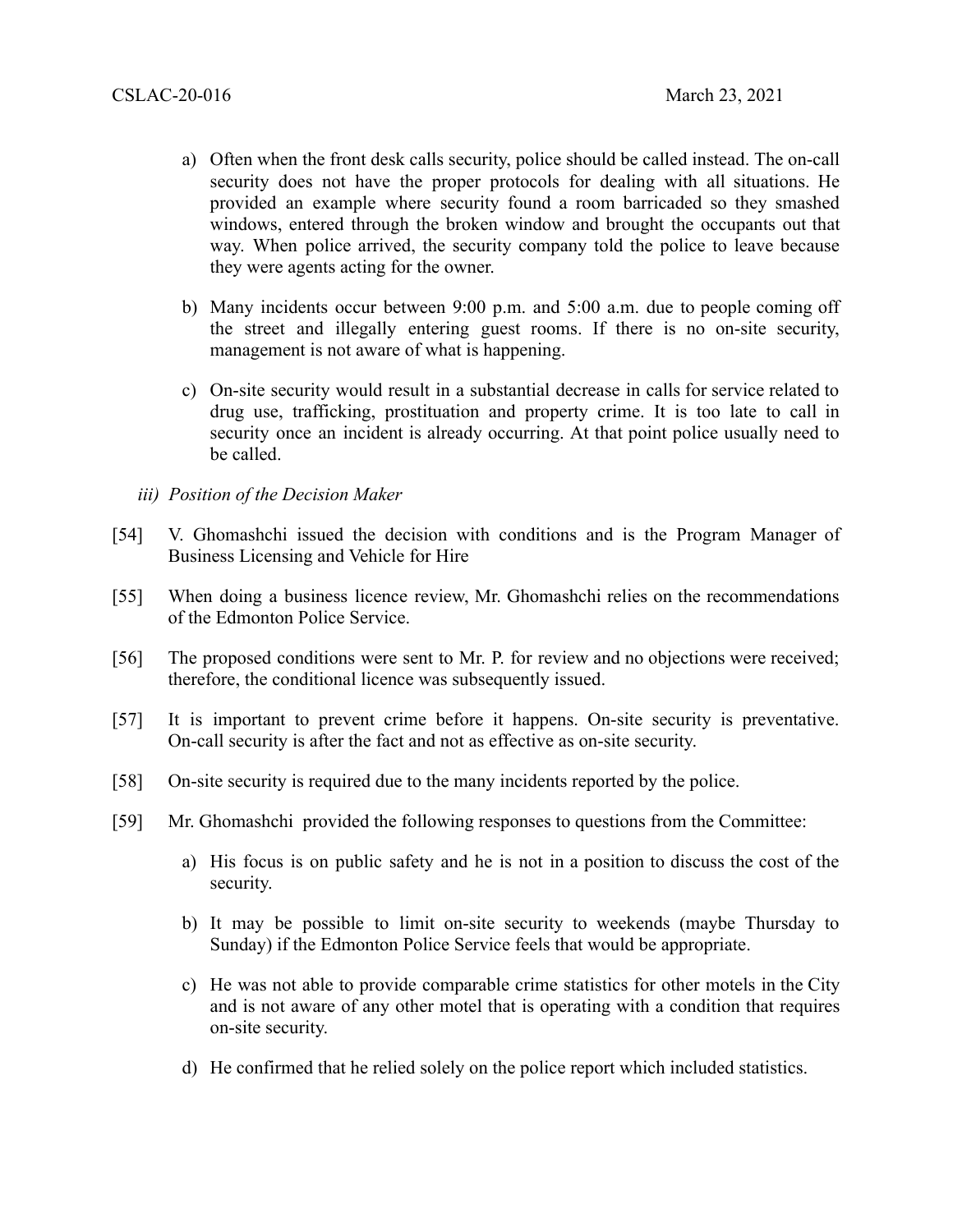- a) Often when the front desk calls security, police should be called instead. The on-call security does not have the proper protocols for dealing with all situations. He provided an example where security found a room barricaded so they smashed windows, entered through the broken window and brought the occupants out that way. When police arrived, the security company told the police to leave because they were agents acting for the owner.
- b) Many incidents occur between 9:00 p.m. and 5:00 a.m. due to people coming off the street and illegally entering guest rooms. If there is no on-site security, management is not aware of what is happening.
- c) On-site security would result in a substantial decrease in calls for service related to drug use, trafficking, prostituation and property crime. It is too late to call in security once an incident is already occurring. At that point police usually need to be called.
- *iii) Position of the Decision Maker*
- [54] V. Ghomashchi issued the decision with conditions and is the Program Manager of Business Licensing and Vehicle for Hire
- [55] When doing a business licence review, Mr. Ghomashchi relies on the recommendations of the Edmonton Police Service.
- [56] The proposed conditions were sent to Mr. P. for review and no objections were received; therefore, the conditional licence was subsequently issued.
- [57] It is important to prevent crime before it happens. On-site security is preventative. On-call security is after the fact and not as effective as on-site security.
- [58] On-site security is required due to the many incidents reported by the police.
- [59] Mr. Ghomashchi provided the following responses to questions from the Committee:
	- a) His focus is on public safety and he is not in a position to discuss the cost of the security.
	- b) It may be possible to limit on-site security to weekends (maybe Thursday to Sunday) if the Edmonton Police Service feels that would be appropriate.
	- c) He was not able to provide comparable crime statistics for other motels in the City and is not aware of any other motel that is operating with a condition that requires on-site security.
	- d) He confirmed that he relied solely on the police report which included statistics.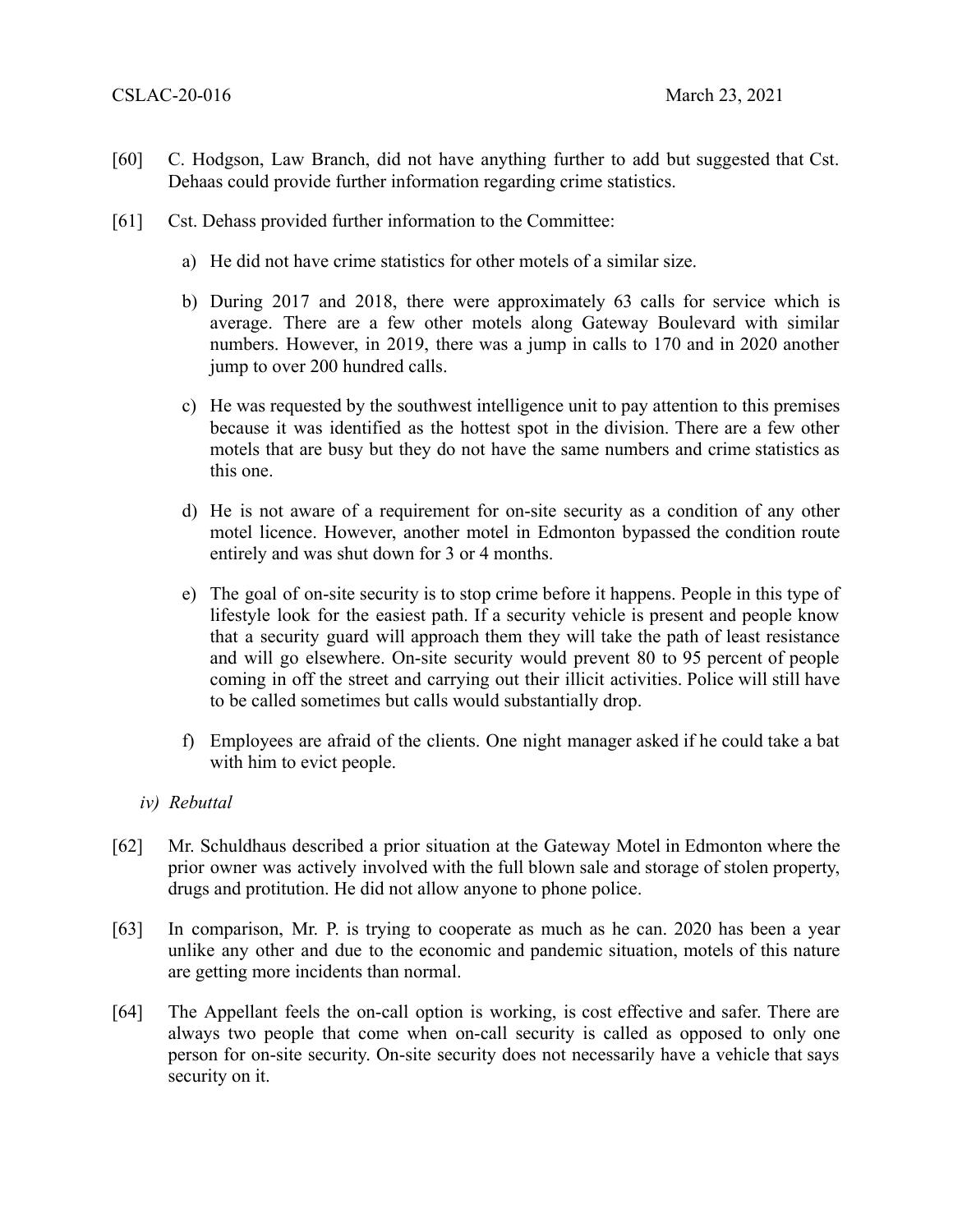- [60] C. Hodgson, Law Branch, did not have anything further to add but suggested that Cst. Dehaas could provide further information regarding crime statistics.
- [61] Cst. Dehass provided further information to the Committee:
	- a) He did not have crime statistics for other motels of a similar size.
	- b) During 2017 and 2018, there were approximately 63 calls for service which is average. There are a few other motels along Gateway Boulevard with similar numbers. However, in 2019, there was a jump in calls to 170 and in 2020 another jump to over 200 hundred calls.
	- c) He was requested by the southwest intelligence unit to pay attention to this premises because it was identified as the hottest spot in the division. There are a few other motels that are busy but they do not have the same numbers and crime statistics as this one.
	- d) He is not aware of a requirement for on-site security as a condition of any other motel licence. However, another motel in Edmonton bypassed the condition route entirely and was shut down for 3 or 4 months.
	- e) The goal of on-site security is to stop crime before it happens. People in this type of lifestyle look for the easiest path. If a security vehicle is present and people know that a security guard will approach them they will take the path of least resistance and will go elsewhere. On-site security would prevent 80 to 95 percent of people coming in off the street and carrying out their illicit activities. Police will still have to be called sometimes but calls would substantially drop.
	- f) Employees are afraid of the clients. One night manager asked if he could take a bat with him to evict people.
	- *iv) Rebuttal*
- [62] Mr. Schuldhaus described a prior situation at the Gateway Motel in Edmonton where the prior owner was actively involved with the full blown sale and storage of stolen property, drugs and protitution. He did not allow anyone to phone police.
- [63] In comparison, Mr. P. is trying to cooperate as much as he can. 2020 has been a year unlike any other and due to the economic and pandemic situation, motels of this nature are getting more incidents than normal.
- [64] The Appellant feels the on-call option is working, is cost effective and safer. There are always two people that come when on-call security is called as opposed to only one person for on-site security. On-site security does not necessarily have a vehicle that says security on it.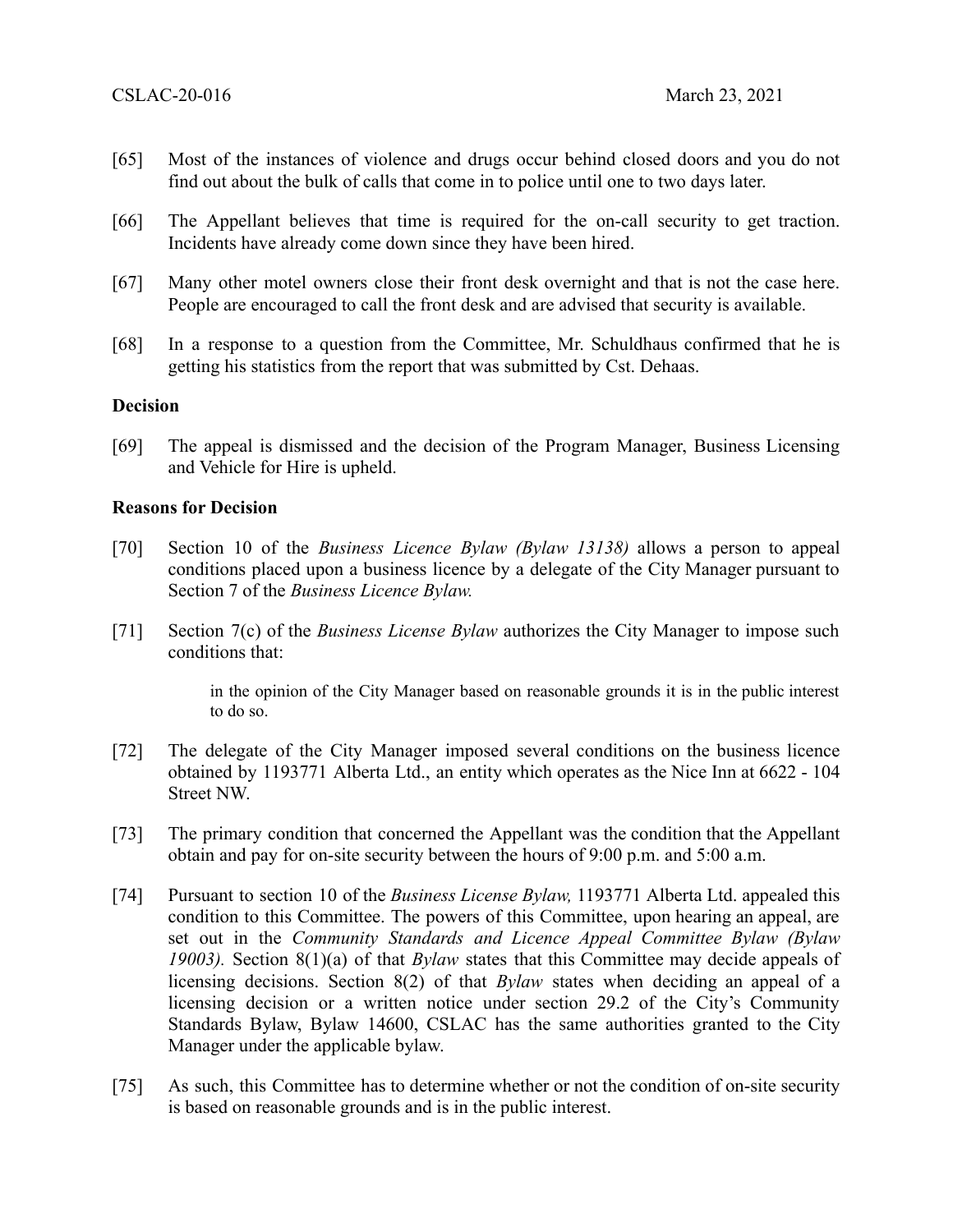- [65] Most of the instances of violence and drugs occur behind closed doors and you do not find out about the bulk of calls that come in to police until one to two days later.
- [66] The Appellant believes that time is required for the on-call security to get traction. Incidents have already come down since they have been hired.
- [67] Many other motel owners close their front desk overnight and that is not the case here. People are encouraged to call the front desk and are advised that security is available.
- [68] In a response to a question from the Committee, Mr. Schuldhaus confirmed that he is getting his statistics from the report that was submitted by Cst. Dehaas.

#### **Decision**

[69] The appeal is dismissed and the decision of the Program Manager, Business Licensing and Vehicle for Hire is upheld.

#### **Reasons for Decision**

- [70] Section 10 of the *Business Licence Bylaw (Bylaw 13138)* allows a person to appeal conditions placed upon a business licence by a delegate of the City Manager pursuant to Section 7 of the *Business Licence Bylaw.*
- [71] Section 7(c) of the *Business License Bylaw* authorizes the City Manager to impose such conditions that:

in the opinion of the City Manager based on reasonable grounds it is in the public interest to do so.

- [72] The delegate of the City Manager imposed several conditions on the business licence obtained by 1193771 Alberta Ltd., an entity which operates as the Nice Inn at 6622 - 104 Street NW.
- [73] The primary condition that concerned the Appellant was the condition that the Appellant obtain and pay for on-site security between the hours of 9:00 p.m. and 5:00 a.m.
- [74] Pursuant to section 10 of the *Business License Bylaw,* 1193771 Alberta Ltd. appealed this condition to this Committee. The powers of this Committee, upon hearing an appeal, are set out in the *Community Standards and Licence Appeal Committee Bylaw (Bylaw 19003).* Section 8(1)(a) of that *Bylaw* states that this Committee may decide appeals of licensing decisions. Section 8(2) of that *Bylaw* states when deciding an appeal of a licensing decision or a written notice under section 29.2 of the City's Community Standards Bylaw, Bylaw 14600, CSLAC has the same authorities granted to the City Manager under the applicable bylaw.
- [75] As such, this Committee has to determine whether or not the condition of on-site security is based on reasonable grounds and is in the public interest.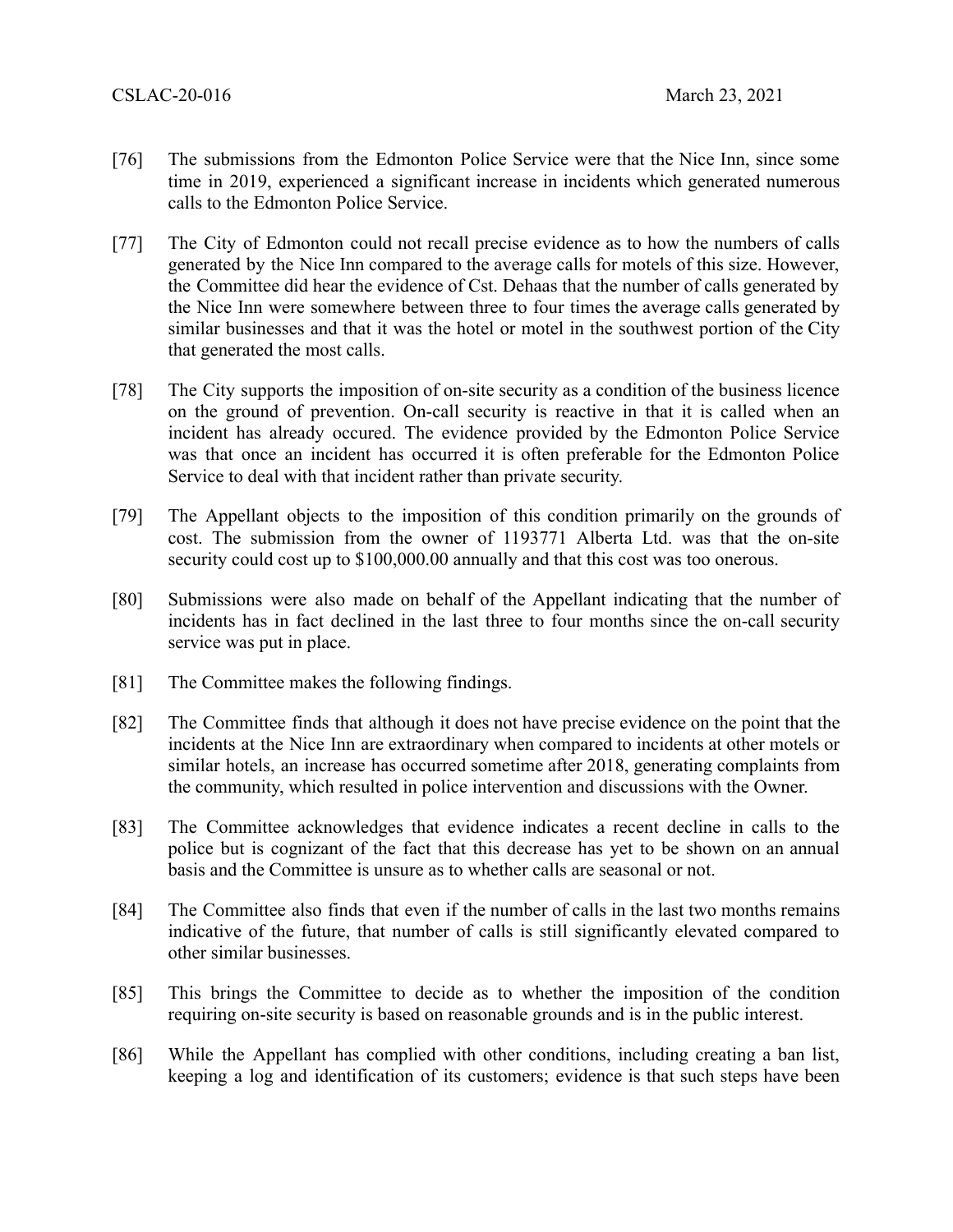- [76] The submissions from the Edmonton Police Service were that the Nice Inn, since some time in 2019, experienced a significant increase in incidents which generated numerous calls to the Edmonton Police Service.
- [77] The City of Edmonton could not recall precise evidence as to how the numbers of calls generated by the Nice Inn compared to the average calls for motels of this size. However, the Committee did hear the evidence of Cst. Dehaas that the number of calls generated by the Nice Inn were somewhere between three to four times the average calls generated by similar businesses and that it was the hotel or motel in the southwest portion of the City that generated the most calls.
- [78] The City supports the imposition of on-site security as a condition of the business licence on the ground of prevention. On-call security is reactive in that it is called when an incident has already occured. The evidence provided by the Edmonton Police Service was that once an incident has occurred it is often preferable for the Edmonton Police Service to deal with that incident rather than private security.
- [79] The Appellant objects to the imposition of this condition primarily on the grounds of cost. The submission from the owner of 1193771 Alberta Ltd. was that the on-site security could cost up to \$100,000.00 annually and that this cost was too onerous.
- [80] Submissions were also made on behalf of the Appellant indicating that the number of incidents has in fact declined in the last three to four months since the on-call security service was put in place.
- [81] The Committee makes the following findings.
- [82] The Committee finds that although it does not have precise evidence on the point that the incidents at the Nice Inn are extraordinary when compared to incidents at other motels or similar hotels, an increase has occurred sometime after 2018, generating complaints from the community, which resulted in police intervention and discussions with the Owner.
- [83] The Committee acknowledges that evidence indicates a recent decline in calls to the police but is cognizant of the fact that this decrease has yet to be shown on an annual basis and the Committee is unsure as to whether calls are seasonal or not.
- [84] The Committee also finds that even if the number of calls in the last two months remains indicative of the future, that number of calls is still significantly elevated compared to other similar businesses.
- [85] This brings the Committee to decide as to whether the imposition of the condition requiring on-site security is based on reasonable grounds and is in the public interest.
- [86] While the Appellant has complied with other conditions, including creating a ban list, keeping a log and identification of its customers; evidence is that such steps have been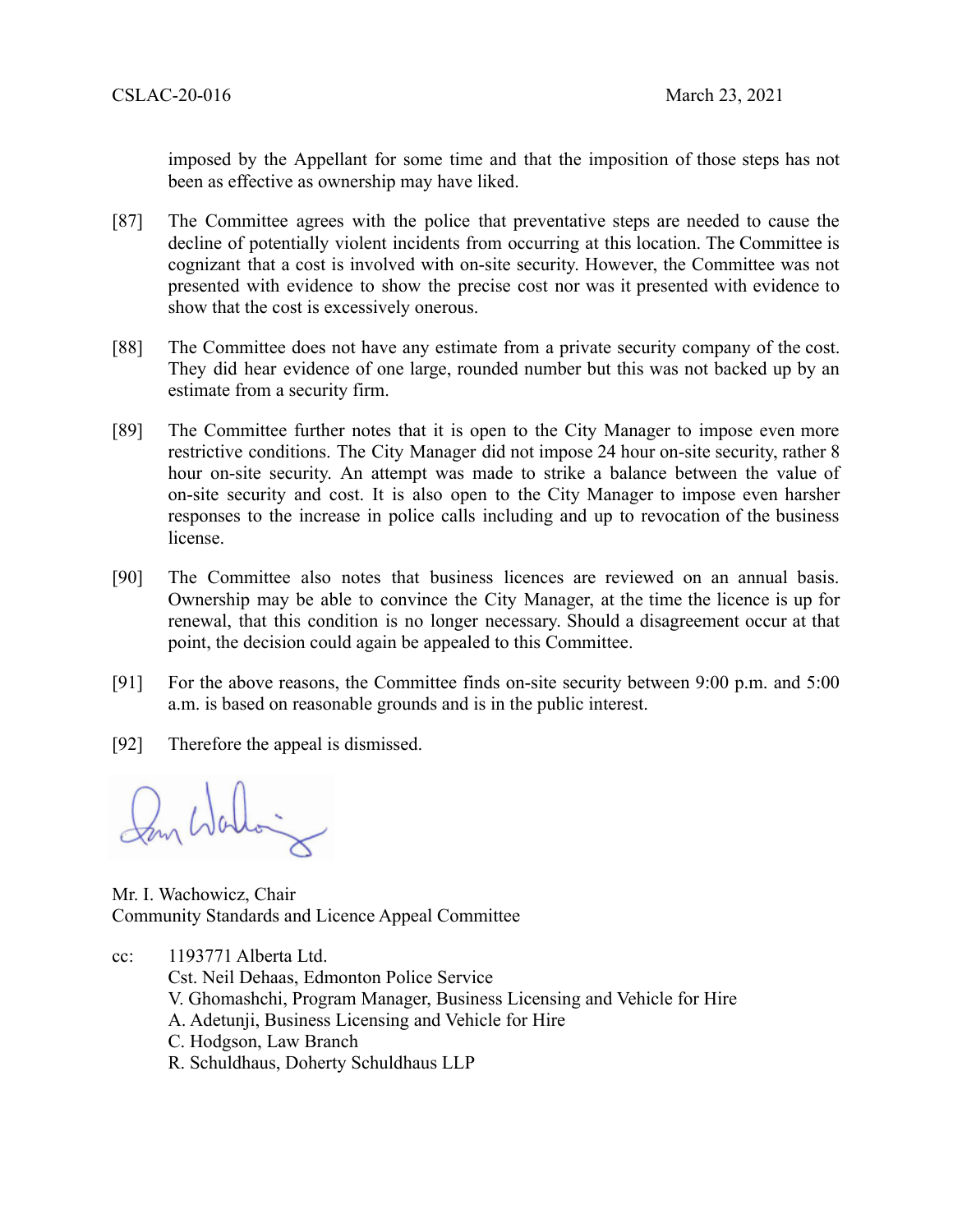imposed by the Appellant for some time and that the imposition of those steps has not been as effective as ownership may have liked.

- [87] The Committee agrees with the police that preventative steps are needed to cause the decline of potentially violent incidents from occurring at this location. The Committee is cognizant that a cost is involved with on-site security. However, the Committee was not presented with evidence to show the precise cost nor was it presented with evidence to show that the cost is excessively onerous.
- [88] The Committee does not have any estimate from a private security company of the cost. They did hear evidence of one large, rounded number but this was not backed up by an estimate from a security firm.
- [89] The Committee further notes that it is open to the City Manager to impose even more restrictive conditions. The City Manager did not impose 24 hour on-site security, rather 8 hour on-site security. An attempt was made to strike a balance between the value of on-site security and cost. It is also open to the City Manager to impose even harsher responses to the increase in police calls including and up to revocation of the business license.
- [90] The Committee also notes that business licences are reviewed on an annual basis. Ownership may be able to convince the City Manager, at the time the licence is up for renewal, that this condition is no longer necessary. Should a disagreement occur at that point, the decision could again be appealed to this Committee.
- [91] For the above reasons, the Committee finds on-site security between 9:00 p.m. and 5:00 a.m. is based on reasonable grounds and is in the public interest.
- [92] Therefore the appeal is dismissed.

m Wallain

Mr. I. Wachowicz, Chair Community Standards and Licence Appeal Committee

cc: 1193771 Alberta Ltd. Cst. Neil Dehaas, Edmonton Police Service V. Ghomashchi, Program Manager, Business Licensing and Vehicle for Hire A. Adetunji, Business Licensing and Vehicle for Hire C. Hodgson, Law Branch R. Schuldhaus, Doherty Schuldhaus LLP